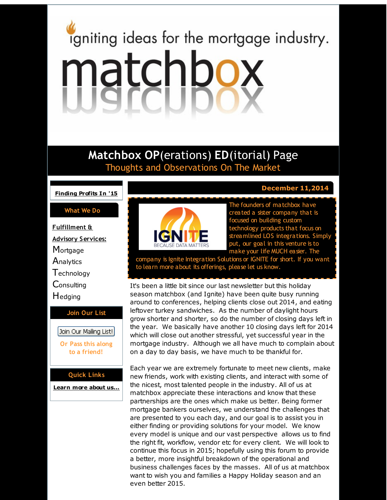# <span id="page-0-0"></span>igniting ideas for the mortgage industry. matchbox

# **Matchbox OP**(erations) **ED**(itorial) Page Thoughts and Observations On The Market

**[Finding](#page-0-0) Profits In '15**

### **What We Do**

**Fulfillment & Advisory Services: Mortgage Analytics T**echnology **Consulting H**edging

### **Join Our List**

Join Our Mailing List! **Or Pass this along to a friend!**

**Quick Links**

**[Learn](http://r20.rs6.net/tn.jsp?f=001uXRrjgvaRoGkm_wTvnOFR2tNL7hNAXrhCMCKYHI_JKghlnN7IK1ilkTongdLfQm_3mq_TogxTqkCCA8OpAB4iRXwKO_sCtpjJgqsqLhqVaLwHN3cO3vvdHALj3L_CHKgkbmMgpIqO86a_ZJHF5vXBckppS6XLT236jXa2Mp4zWMQ4Ixdv7KOpA==&c=&ch=) more about u[s...](http://r20.rs6.net/tn.jsp?f=001uXRrjgvaRoGkm_wTvnOFR2tNL7hNAXrhCMCKYHI_JKghlnN7IK1ilkTongdLfQm_3mq_TogxTqkCCA8OpAB4iRXwKO_sCtpjJgqsqLhqVaLwHN3cO3vvdHALj3L_CHKgkbmMgpIqO86a_ZJHF5vXBckppS6XLT236jXa2Mp4zWMQ4Ixdv7KOpA==&c=&ch=)**



The founders of matchbox have created a sister company that is focused on building custom technology products that focus on streamlined LOS integrations. Simply put, our goal in this venture is to

make your life MUCH easier. The

. **December 11,2014**

company is Ignite Integration Solutions or IGNITE for short. If you want to learn more about its offerings, please let us know.

It's been a little bit since our last newsletter but this holiday season matchbox (and Ignite) have been quite busy running around to conferences, helping clients close out 2014, and eating leftover turkey sandwiches. As the number of daylight hours grow shorter and shorter, so do the number of closing days left in the year. We basically have another 10 closing days left for 2014 which will close out another stressful, yet successful year in the mortgage industry. Although we all have much to complain about on a day to day basis, we have much to be thankful for.

Each year we are extremely fortunate to meet new clients, make new friends, work with existing clients, and interact with some of the nicest, most talented people in the industry. All of us at matchbox appreciate these interactions and know that these partnerships are the ones which make us better. Being former mortgage bankers ourselves, we understand the challenges that are presented to you each day, and our goal is to assist you in either finding or providing solutions for your model. We know every model is unique and our vast perspective allows us to find the right fit, workflow, vendor etc for every client. We will look to continue this focus in 2015; hopefully using this forum to provide a better, more insightful breakdown of the operational and business challenges faces by the masses. All of us at matchbox want to wish you and families a Happy Holiday season and an even better 2015.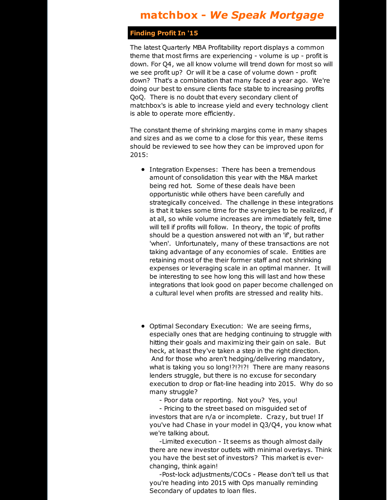## **matchbox -** *We Speak Mortgage*

### **Finding Profit In '15**

The latest Quarterly MBA Profitability report displays a common theme that most firms are experiencing - volume is up - profit is down. For Q4, we all know volume will trend down for most so will we see profit up? Or will it be a case of volume down - profit down? That's a combination that many faced a year ago. We're doing our best to ensure clients face stable to increasing profits QoQ. There is no doubt that every secondary client of matchbox's is able to increase yield and every technology client is able to operate more efficiently.

The constant theme of shrinking margins come in many shapes and sizes and as we come to a close for this year, these items should be reviewed to see how they can be improved upon for 2015:

- Integration Expenses: There has been a tremendous amount of consolidation this year with the M&A market being red hot. Some of these deals have been opportunistic while others have been carefully and strategically conceived. The challenge in these integrations is that it takes some time for the synergies to be realized, if at all, so while volume increases are immediately felt, time will tell if profits will follow. In theory, the topic of profits should be a question answered not with an 'if', but rather 'when'. Unfortunately, many of these transactions are not taking advantage of any economies of scale. Entities are retaining most of the their former staff and not shrinking expenses or leveraging scale in an optimal manner. It will be interesting to see how long this will last and how these integrations that look good on paper become challenged on a cultural level when profits are stressed and reality hits.
- Optimal Secondary Execution: We are seeing firms, especially ones that are hedging continuing to struggle with hitting their goals and maximizing their gain on sale. But heck, at least they've taken a step in the right direction. And for those who aren't hedging/delivering mandatory, what is taking you so long!?!?!?! There are many reasons lenders struggle, but there is no excuse for secondary execution to drop or flat-line heading into 2015. Why do so many struggle?

- Poor data or reporting. Not you? Yes, you!

- Pricing to the street based on misguided set of investors that are n/a or incomplete. Crazy, but true! If you've had Chase in your model in Q3/Q4, you know what we're talking about.

-Limited execution - It seems as though almost daily there are new investor outlets with minimal overlays. Think you have the best set of investors? This market is everchanging, think again!

-Post-lock adjustments/COCs - Please don't tell us that you're heading into 2015 with Ops manually reminding Secondary of updates to loan files.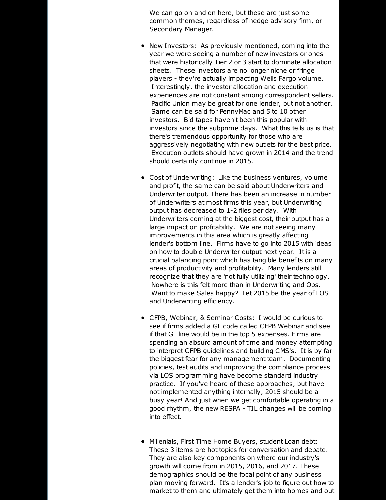We can go on and on here, but these are just some common themes, regardless of hedge advisory firm, or Secondary Manager.

- New Investors: As previously mentioned, coming into the year we were seeing a number of new investors or ones that were historically Tier 2 or 3 start to dominate allocation sheets. These investors are no longer niche or fringe players - they're actually impacting Wells Fargo volume. Interestingly, the investor allocation and execution experiences are not constant among correspondent sellers. Pacific Union may be great for one lender, but not another. Same can be said for PennyMac and 5 to 10 other investors. Bid tapes haven't been this popular with investors since the subprime days. What this tells us is that there's tremendous opportunity for those who are aggressively negotiating with new outlets for the best price. Execution outlets should have grown in 2014 and the trend should certainly continue in 2015.
- Cost of Underwriting: Like the business ventures, volume and profit, the same can be said about Underwriters and Underwriter output. There has been an increase in number of Underwriters at most firms this year, but Underwriting output has decreased to 1-2 files per day. With Underwriters coming at the biggest cost, their output has a large impact on profitability. We are not seeing many improvements in this area which is greatly affecting lender's bottom line. Firms have to go into 2015 with ideas on how to double Underwriter output next year. It is a crucial balancing point which has tangible benefits on many areas of productivity and profitability. Many lenders still recognize that they are 'not fully utilizing' their technology. Nowhere is this felt more than in Underwriting and Ops. Want to make Sales happy? Let 2015 be the year of LOS and Underwriting efficiency.
- CFPB, Webinar, & Seminar Costs: I would be curious to see if firms added a GL code called CFPB Webinar and see if that GL line would be in the top 5 expenses. Firms are spending an absurd amount of time and money attempting to interpret CFPB guidelines and building CMS's. It is by far the biggest fear for any management team. Documenting policies, test audits and improving the compliance process via LOS programming have become standard industry practice. If you've heard of these approaches, but have not implemented anything internally, 2015 should be a busy year! And just when we get comfortable operating in a good rhythm, the new RESPA - TIL changes will be coming into effect.
- Millenials, First Time Home Buyers, student Loan debt: These 3 items are hot topics for conversation and debate. They are also key components on where our industry's growth will come from in 2015, 2016, and 2017. These demographics should be the focal point of any business plan moving forward. It's a lender's job to figure out how to market to them and ultimately get them into homes and out